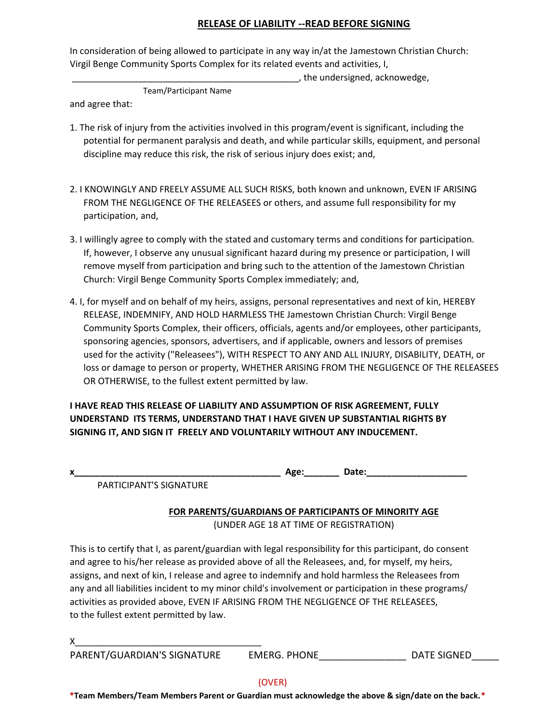## **RELEASE OF LIABILITY --READ BEFORE SIGNING**

In consideration of being allowed to participate in any way in/at the Jamestown Christian Church: Virgil Benge Community Sports Complex for its related events and activities, I,

\_\_\_\_\_\_\_\_\_\_\_\_\_\_\_\_\_\_\_\_\_\_\_\_\_\_\_\_\_\_\_\_\_\_\_\_\_\_\_\_\_\_\_\_\_, the undersigned, acknowedge,

Team/Participant Name

and agree that:

- 1. The risk of injury from the activities involved in this program/event is significant, including the potential for permanent paralysis and death, and while particular skills, equipment, and personal discipline may reduce this risk, the risk of serious injury does exist; and,
- 2. I KNOWINGLY AND FREELY ASSUME ALL SUCH RISKS, both known and unknown, EVEN IF ARISING FROM THE NEGLIGENCE OF THE RELEASEES or others, and assume full responsibility for my participation, and,
- 3. I willingly agree to comply with the stated and customary terms and conditions for participation. If, however, I observe any unusual significant hazard during my presence or participation, I will remove myself from participation and bring such to the attention of the Jamestown Christian Church: Virgil Benge Community Sports Complex immediately; and,
- 4. I, for myself and on behalf of my heirs, assigns, personal representatives and next of kin, HEREBY RELEASE, INDEMNIFY, AND HOLD HARMLESS THE Jamestown Christian Church: Virgil Benge Community Sports Complex, their officers, officials, agents and/or employees, other participants, sponsoring agencies, sponsors, advertisers, and if applicable, owners and lessors of premises used for the activity ("Releasees"), WITH RESPECT TO ANY AND ALL INJURY, DISABILITY, DEATH, or loss or damage to person or property, WHETHER ARISING FROM THE NEGLIGENCE OF THE RELEASEES OR OTHERWISE, to the fullest extent permitted by law.

**I HAVE READ THIS RELEASE OF LIABILITY AND ASSUMPTION OF RISK AGREEMENT, FULLY UNDERSTAND ITS TERMS, UNDERSTAND THAT I HAVE GIVEN UP SUBSTANTIAL RIGHTS BY SIGNING IT, AND SIGN IT FREELY AND VOLUNTARILY WITHOUT ANY INDUCEMENT.**

PARTICIPANT'S SIGNATURE

|  | FOR PARENTS/GUARDIANS OF PARTICIPANTS OF MINORITY AGE |
|--|-------------------------------------------------------|
|  |                                                       |

(UNDER AGE 18 AT TIME OF REGISTRATION)

This is to certify that I, as parent/guardian with legal responsibility for this participant, do consent and agree to his/her release as provided above of all the Releasees, and, for myself, my heirs, assigns, and next of kin, I release and agree to indemnify and hold harmless the Releasees from any and all liabilities incident to my minor child's involvement or participation in these programs/ activities as provided above, EVEN IF ARISING FROM THE NEGLIGENCE OF THE RELEASEES, to the fullest extent permitted by law.

X\_\_\_\_\_\_\_\_\_\_\_\_\_\_\_\_\_\_\_\_\_\_\_\_\_\_\_\_\_\_\_\_\_\_\_\_\_

PARENT/GUARDIAN'S SIGNATURE LEMERG. PHONE THE SIGNED DATE SIGNED

**\*Team Members/Team Members Parent or Guardian must acknowledge the above & sign/date on the back.\***